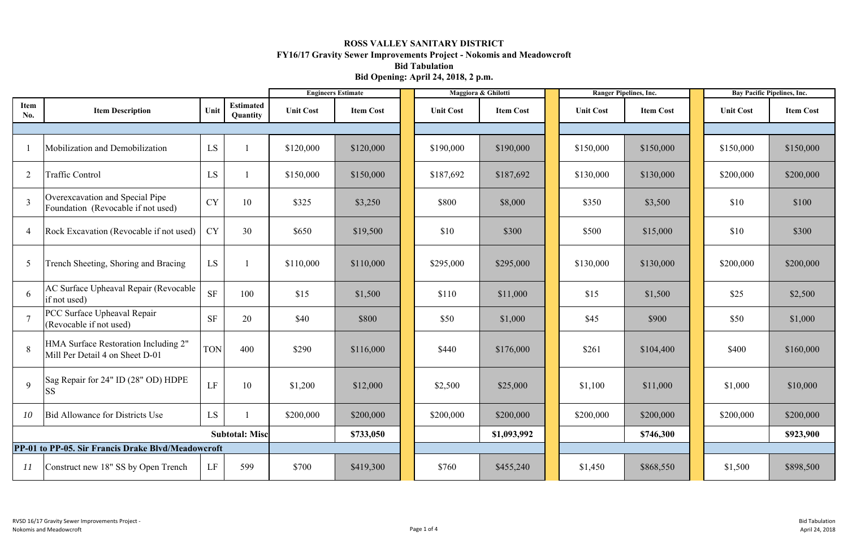|                |                                                                         | <b>Engineers Estimate</b> |                              | Maggiora & Ghilotti |                  |                  | <b>Ranger Pipelines, Inc.</b> |  | <b>Bay Pacific Pipelines, Inc.</b> |                  |                  |                  |
|----------------|-------------------------------------------------------------------------|---------------------------|------------------------------|---------------------|------------------|------------------|-------------------------------|--|------------------------------------|------------------|------------------|------------------|
| Item<br>No.    | <b>Item Description</b>                                                 | Unit                      | <b>Estimated</b><br>Quantity | <b>Unit Cost</b>    | <b>Item Cost</b> | <b>Unit Cost</b> | <b>Item Cost</b>              |  | <b>Unit Cost</b>                   | <b>Item Cost</b> | <b>Unit Cost</b> | <b>Item Cost</b> |
|                |                                                                         |                           |                              |                     |                  |                  |                               |  |                                    |                  |                  |                  |
|                | Mobilization and Demobilization                                         | LS                        |                              | \$120,000           | \$120,000        | \$190,000        | \$190,000                     |  | \$150,000                          | \$150,000        | \$150,000        | \$150,000        |
| $\overline{2}$ | Traffic Control                                                         | LS                        |                              | \$150,000           | \$150,000        | \$187,692        | \$187,692                     |  | \$130,000                          | \$130,000        | \$200,000        | \$200,000        |
| 3              | Overexcavation and Special Pipe<br>Foundation (Revocable if not used)   | <b>CY</b>                 | 10                           | \$325               | \$3,250          | \$800            | \$8,000                       |  | \$350                              | \$3,500          | \$10             | \$100            |
| $\overline{4}$ | Rock Excavation (Revocable if not used)                                 | <b>CY</b>                 | 30                           | \$650               | \$19,500         | \$10             | \$300                         |  | \$500                              | \$15,000         | \$10             | \$300            |
| 5              | Trench Sheeting, Shoring and Bracing                                    | LS                        |                              | \$110,000           | \$110,000        | \$295,000        | \$295,000                     |  | \$130,000                          | \$130,000        | \$200,000        | \$200,000        |
| 6              | AC Surface Upheaval Repair (Revocable<br>if not used)                   | <b>SF</b>                 | 100                          | \$15                | \$1,500          | \$110            | \$11,000                      |  | \$15                               | \$1,500          | \$25             | \$2,500          |
|                | PCC Surface Upheaval Repair<br>(Revocable if not used)                  | <b>SF</b>                 | 20                           | \$40                | \$800            | \$50             | \$1,000                       |  | \$45                               | \$900            | \$50             | \$1,000          |
| 8              | HMA Surface Restoration Including 2"<br>Mill Per Detail 4 on Sheet D-01 | <b>TON</b>                | 400                          | \$290               | \$116,000        | \$440            | \$176,000                     |  | \$261                              | \$104,400        | \$400            | \$160,000        |
| 9              | [Sag Repair for 24" ID (28" OD) HDPE<br><b>SS</b>                       | LF                        | 10                           | \$1,200             | \$12,000         | \$2,500          | \$25,000                      |  | \$1,100                            | \$11,000         | \$1,000          | \$10,000         |
| 10             | Bid Allowance for Districts Use                                         | LS                        |                              | \$200,000           | \$200,000        | \$200,000        | \$200,000                     |  | \$200,000                          | \$200,000        | \$200,000        | \$200,000        |
|                |                                                                         |                           | <b>Subtotal: Misc</b>        |                     | \$733,050        |                  | \$1,093,992                   |  |                                    | \$746,300        |                  | \$923,900        |
|                | PP-01 to PP-05. Sir Francis Drake Blvd/Meadowcroft                      |                           |                              |                     |                  |                  |                               |  |                                    |                  |                  |                  |
| 11             | Construct new 18" SS by Open Trench                                     | LF                        | 599                          | \$700               | \$419,300        | \$760            | \$455,240                     |  | \$1,450                            | \$868,550        | \$1,500          | \$898,500        |

## **ROSS VALLEY SANITARY DISTRICT FY16/17 Gravity Sewer Improvements Project - Nokomis and Meadowcroft Bid Tabulation Bid Opening: April 24, 2018, 2 p.m.**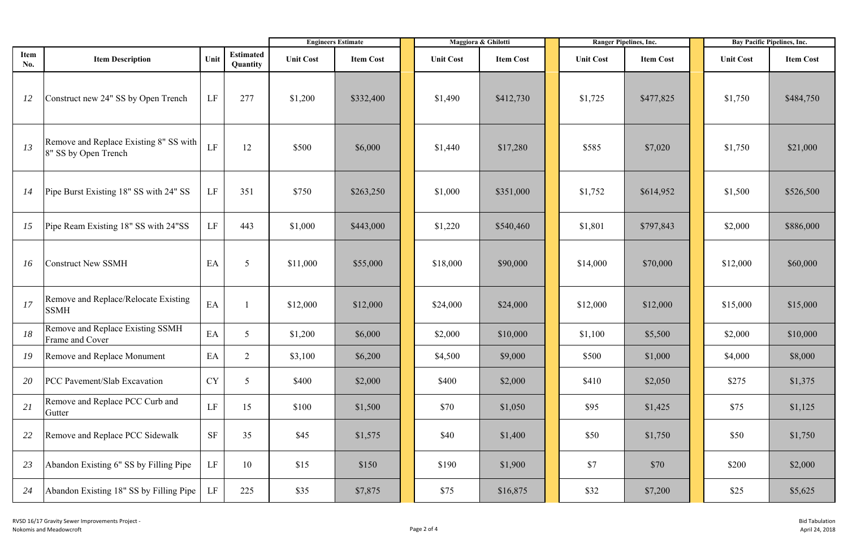|                    |                                                                |           |                              | <b>Engineers Estimate</b> |                  | Maggiora & Ghilotti |                  | Ranger Pipelines, Inc. |                  | <b>Bay Pacific Pipelines, Inc.</b> |                  |
|--------------------|----------------------------------------------------------------|-----------|------------------------------|---------------------------|------------------|---------------------|------------------|------------------------|------------------|------------------------------------|------------------|
| Item<br><b>No.</b> | <b>Item Description</b>                                        | Unit      | <b>Estimated</b><br>Quantity | <b>Unit Cost</b>          | <b>Item Cost</b> | <b>Unit Cost</b>    | <b>Item Cost</b> | <b>Unit Cost</b>       | <b>Item Cost</b> | <b>Unit Cost</b>                   | <b>Item Cost</b> |
| 12                 | Construct new 24" SS by Open Trench                            | LF        | 277                          | \$1,200                   | \$332,400        | \$1,490             | \$412,730        | \$1,725                | \$477,825        | \$1,750                            | \$484,750        |
| 13                 | Remove and Replace Existing 8" SS with<br>8" SS by Open Trench | LF        | 12                           | \$500                     | \$6,000          | \$1,440             | \$17,280         | \$585                  | \$7,020          | \$1,750                            | \$21,000         |
| 14                 | Pipe Burst Existing 18" SS with 24" SS                         | LF        | 351                          | \$750                     | \$263,250        | \$1,000             | \$351,000        | \$1,752                | \$614,952        | \$1,500                            | \$526,500        |
| 15                 | Pipe Ream Existing 18" SS with 24"SS                           | LF        | 443                          | \$1,000                   | \$443,000        | \$1,220             | \$540,460        | \$1,801                | \$797,843        | \$2,000                            | \$886,000        |
| 16                 | <b>Construct New SSMH</b>                                      | EA        | $5\overline{)}$              | \$11,000                  | \$55,000         | \$18,000            | \$90,000         | \$14,000               | \$70,000         | \$12,000                           | \$60,000         |
| 17                 | Remove and Replace/Relocate Existing<br><b>SSMH</b>            | EA        |                              | \$12,000                  | \$12,000         | \$24,000            | \$24,000         | \$12,000               | \$12,000         | \$15,000                           | \$15,000         |
| 18                 | Remove and Replace Existing SSMH<br>Frame and Cover            | EA        | $\overline{5}$               | \$1,200                   | \$6,000          | \$2,000             | \$10,000         | \$1,100                | \$5,500          | \$2,000                            | \$10,000         |
| 19                 | Remove and Replace Monument                                    | EA        | 2                            | \$3,100                   | \$6,200          | \$4,500             | \$9,000          | \$500                  | \$1,000          | \$4,000                            | \$8,000          |
| 20                 | PCC Pavement/Slab Excavation                                   | <b>CY</b> | 5                            | \$400                     | \$2,000          | \$400               | \$2,000          | \$410                  | \$2,050          | \$275                              | \$1,375          |
| 21                 | Remove and Replace PCC Curb and<br>Gutter                      | LF        | 15                           | \$100                     | \$1,500          | \$70                | \$1,050          | \$95                   | \$1,425          | \$75                               | \$1,125          |
| 22                 | Remove and Replace PCC Sidewalk                                | $\rm{SF}$ | 35                           | \$45                      | \$1,575          | \$40                | \$1,400          | \$50                   | \$1,750          | \$50                               | \$1,750          |
| 23                 | Abandon Existing 6" SS by Filling Pipe                         | LF        | 10                           | \$15                      | \$150            | \$190               | \$1,900          | \$7                    | \$70             | \$200                              | \$2,000          |
| 24                 | Abandon Existing 18" SS by Filling Pipe                        | LF        | 225                          | \$35                      | \$7,875          | \$75                | \$16,875         | \$32                   | \$7,200          | \$25                               | \$5,625          |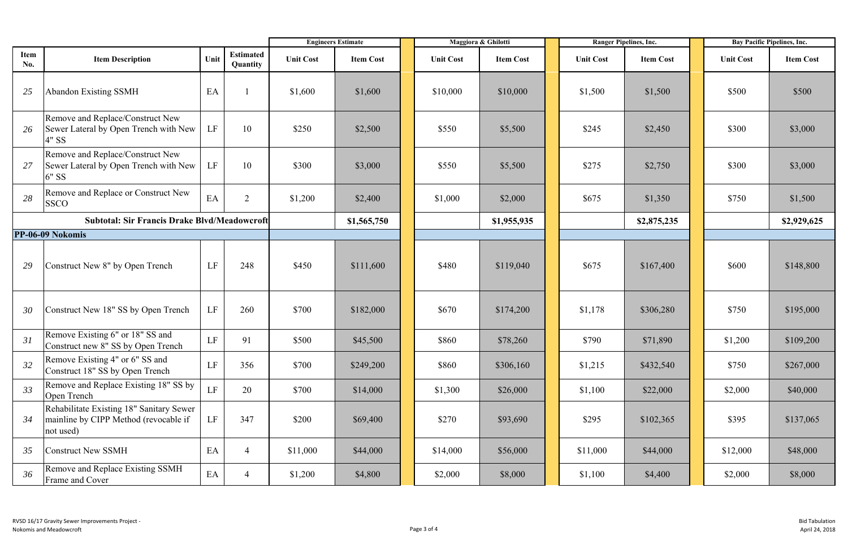|                                                     |                                                                                                | <b>Engineers Estimate</b> |                              |                  | Maggiora & Ghilotti |                  |                  | <b>Ranger Pipelines, Inc.</b> | <b>Bay Pacific Pipelines, Inc.</b> |                  |                  |                  |
|-----------------------------------------------------|------------------------------------------------------------------------------------------------|---------------------------|------------------------------|------------------|---------------------|------------------|------------------|-------------------------------|------------------------------------|------------------|------------------|------------------|
| Item<br>No.                                         | <b>Item Description</b>                                                                        | Unit                      | <b>Estimated</b><br>Quantity | <b>Unit Cost</b> | <b>Item Cost</b>    | <b>Unit Cost</b> | <b>Item Cost</b> |                               | <b>Unit Cost</b>                   | <b>Item Cost</b> | <b>Unit Cost</b> | <b>Item Cost</b> |
| 25                                                  | <b>Abandon Existing SSMH</b>                                                                   | EA                        |                              | \$1,600          | \$1,600             | \$10,000         | \$10,000         |                               | \$1,500                            | \$1,500          | \$500            | \$500            |
| 26                                                  | Remove and Replace/Construct New<br>Sewer Lateral by Open Trench with New<br>4" SS             | LF                        | 10                           | \$250            | \$2,500             | \$550            | \$5,500          |                               | \$245                              | \$2,450          | \$300            | \$3,000          |
| 27                                                  | Remove and Replace/Construct New<br>Sewer Lateral by Open Trench with New<br>6" SS             | LF                        | 10                           | \$300            | \$3,000             | \$550            | \$5,500          |                               | \$275                              | \$2,750          | \$300            | \$3,000          |
| 28                                                  | Remove and Replace or Construct New<br><b>SSCO</b>                                             | EA                        | 2                            | \$1,200          | \$2,400             | \$1,000          | \$2,000          |                               | \$675                              | \$1,350          | \$750            | \$1,500          |
| <b>Subtotal: Sir Francis Drake Blvd/Meadowcroft</b> |                                                                                                |                           |                              |                  | \$1,565,750         |                  | \$1,955,935      |                               |                                    | \$2,875,235      |                  | \$2,929,625      |
|                                                     | PP-06-09 Nokomis                                                                               |                           |                              |                  |                     |                  |                  |                               |                                    |                  |                  |                  |
| 29                                                  | Construct New 8" by Open Trench                                                                | LF                        | 248                          | \$450            | \$111,600           | \$480            | \$119,040        |                               | \$675                              | \$167,400        | \$600            | \$148,800        |
| 30                                                  | Construct New 18" SS by Open Trench                                                            | LF                        | 260                          | \$700            | \$182,000           | \$670            | \$174,200        |                               | \$1,178                            | \$306,280        | \$750            | \$195,000        |
| 31                                                  | Remove Existing 6" or 18" SS and<br>Construct new 8" SS by Open Trench                         | $\rm LF$                  | 91                           | \$500            | \$45,500            | \$860            | \$78,260         |                               | \$790                              | \$71,890         | \$1,200          | \$109,200        |
| 32                                                  | Remove Existing 4" or 6" SS and<br>Construct 18" SS by Open Trench                             | $\rm LF$                  | 356                          | \$700            | \$249,200           | \$860            | \$306,160        |                               | \$1,215                            | \$432,540        | \$750            | \$267,000        |
| 33                                                  | Remove and Replace Existing 18" SS by<br>Open Trench                                           | LF                        | 20                           | \$700            | \$14,000            | \$1,300          | \$26,000         |                               | \$1,100                            | \$22,000         | \$2,000          | \$40,000         |
| 34                                                  | Rehabilitate Existing 18" Sanitary Sewer<br>mainline by CIPP Method (revocable if<br>not used) | LF                        | 347                          | \$200            | \$69,400            | \$270            | \$93,690         |                               | \$295                              | \$102,365        | \$395            | \$137,065        |
| 35                                                  | <b>Construct New SSMH</b>                                                                      | EA                        | $\overline{4}$               | \$11,000         | \$44,000            | \$14,000         | \$56,000         |                               | \$11,000                           | \$44,000         | \$12,000         | \$48,000         |
| 36                                                  | Remove and Replace Existing SSMH<br>Frame and Cover                                            | $\mathbf{E}\mathbf{A}$    | $\overline{4}$               | \$1,200          | \$4,800             | \$2,000          | \$8,000          |                               | \$1,100                            | \$4,400          | \$2,000          | \$8,000          |